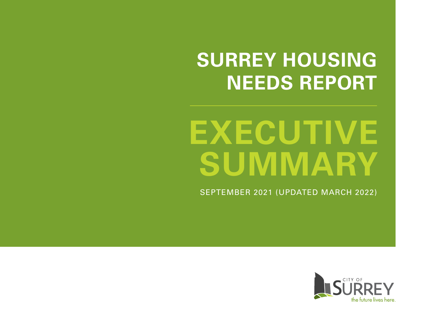# **SURREY HOUSING NEEDS REPORT**

# **EXECUTIVE SUMMARY**

SEPTEMBER 2021 (UPDATED MARCH 2022)

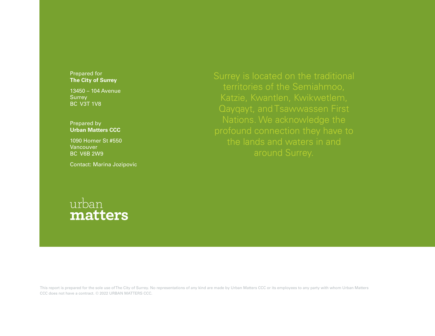### Prepared for **The City of Surrey**

13450 – 104 Avenue **Surrey** BC V3T 1V8

Prepared by **Urban Matters CCC**

1090 Homer St #550 **Vancouver** BC V6B 2W9

Contact: Marina Jozipovic

# Nations. We acknowledge the the lands and waters in and



This report is prepared for the sole use of The City of Surrey. No representations of any kind are made by Urban Matters CCC or its employees to any party with whom Urban Matters CCC does not have a contract. © 2022 URBAN MATTERS CCC.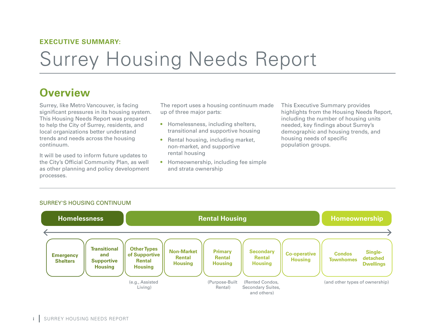## **EXECUTIVE SUMMARY:**

# Surrey Housing Needs Report

# **Overview**

Surrey, like Metro Vancouver, is facing significant pressures in its housing system. This Housing Needs Report was prepared to help the City of Surrey, residents, and local organizations better understand trends and needs across the housing continuum.

It will be used to inform future updates to the City's Official Community Plan, as well as other planning and policy development processes.

The report uses a housing continuum made up of three major parts:

- Homelessness, including shelters, transitional and supportive housing
- Rental housing, including market, non-market, and supportive rental housing
- Homeownership, including fee simple and strata ownership

This Executive Summary provides highlights from the Housing Needs Report, including the number of housing units needed, key findings about Surrey's demographic and housing trends, and housing needs of specific population groups.



#### SURREY'S HOUSING CONTINUUM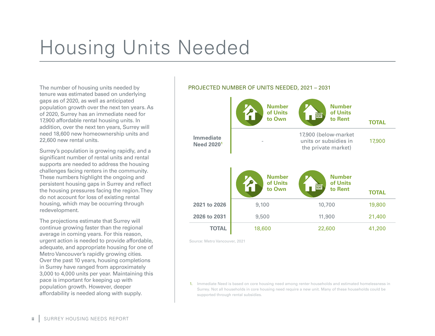# Housing Units Needed

The number of housing units needed by tenure was estimated based on underlying gaps as of 2020, as well as anticipated population growth over the next ten years. As of 2020, Surrey has an immediate need for 17,900 affordable rental housing units. In addition, over the next ten years, Surrey will need 18,600 new homeownership units and 22,600 new rental units.

Surrey's population is growing rapidly, and a significant number of rental units and rental supports are needed to address the housing challenges facing renters in the community. These numbers highlight the ongoing and persistent housing gaps in Surrey and reflect the housing pressures facing the region. They do not account for loss of existing rental housing, which may be occurring through redevelopment.

The projections estimate that Surrey will continue growing faster than the regional average in coming years. For this reason, urgent action is needed to provide affordable, adequate, and appropriate housing for one of Metro Vancouver's rapidly growing cities. Over the past 10 years, housing completions in Surrey have ranged from approximately 3,000 to 4,000 units per year. Maintaining this pace is important for keeping up with population growth. However, deeper affordability is needed along with supply.

### PROJECTED NUMBER OF UNITS NEEDED, 2021 – 2031



Source: Metro Vancouver, 2021

1. Immediate Need is based on core housing need among renter households and estimated homelessness in Surrey. Not all households in core housing need require a new unit. Many of these households could be supported through rental subsidies.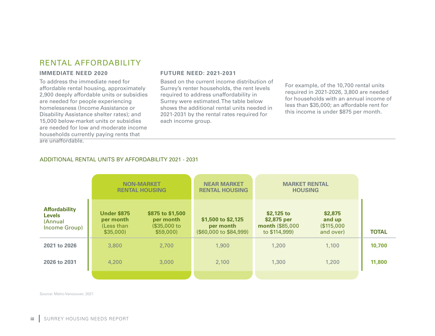# RENTAL AFFORDABILITY

#### **IMMEDIATE NEED 2020**

To address the immediate need for affordable rental housing, approximately 2,900 deeply affordable units or subsidies are needed for people experiencing homelessness (Income Assistance or Disability Assistance shelter rates); and 15,000 below-market units or subsidies are needed for low and moderate income households currently paying rents that are unaffordable.

#### **FUTURE NEED: 2021-2031**

Based on the current income distribution of Surrey's renter households, the rent levels required to address unaffordability in Surrey were estimated. The table below shows the additional rental units needed in 2021-2031 by the rental rates required for each income group.

For example, of the 10,700 rental units required in 2021-2026, 3,800 are needed for households with an annual income of less than \$35,000; an affordable rent for this income is under \$875 per month.

#### ADDITIONAL RENTAL UNITS BY AFFORDABILITY 2021 - 2031

|                                                                   | <b>NON-MARKET</b><br><b>RENTAL HOUSING</b>                |                                                           | <b>NEAR MARKET</b><br><b>RENTAL HOUSING</b>               | <b>MARKET RENTAL</b><br><b>HOUSING</b>                         |                                             |              |
|-------------------------------------------------------------------|-----------------------------------------------------------|-----------------------------------------------------------|-----------------------------------------------------------|----------------------------------------------------------------|---------------------------------------------|--------------|
| <b>Affordability</b><br><b>Levels</b><br>(Annual<br>Income Group) | <b>Under \$875</b><br>per month<br>(Less than<br>\$35,000 | \$875 to \$1,500<br>per month<br>(\$35,000 to<br>\$59,000 | \$1,500 to \$2,125<br>per month<br>(\$60,000 to \$84,999) | $$2,125$ to<br>\$2,875 per<br>month (\$85,000<br>to \$114,999) | \$2,875<br>and up<br>\$115,000<br>and over) | <b>TOTAL</b> |
| 2021 to 2026                                                      | 3,800                                                     | 2.700                                                     | 1,900                                                     | 1,200                                                          | 1,100                                       | 10,700       |
| 2026 to 2031                                                      | 4,200                                                     | 3,000                                                     | 2,100                                                     | 1,300                                                          | 1,200                                       | 11,800       |
|                                                                   |                                                           |                                                           |                                                           |                                                                |                                             |              |

Source: Metro Vancouver, 2021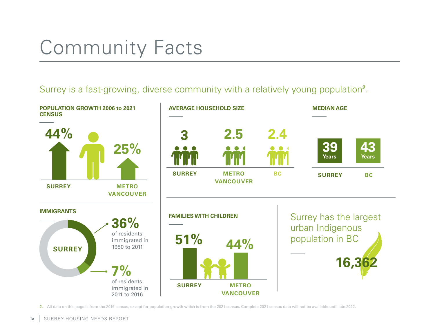# Community Facts

# Surrey is a fast-growing, diverse community with a relatively young population**<sup>2</sup>** .



2. All data on this page is from the 2016 census, except for population growth which is from the 2021 census. Complete 2021 census data will not be available until late 2022.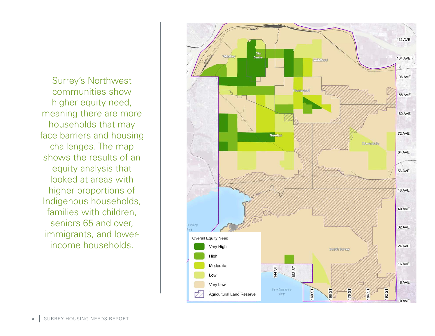Surrey's Northwest communities show higher equity need, meaning there are more households that may face barriers and housing challenges. The map shows the results of an equity analysis that looked at areas with higher proportions of Indigenous households, families with children, seniors 65 and over, immigrants, and lowerincome households.

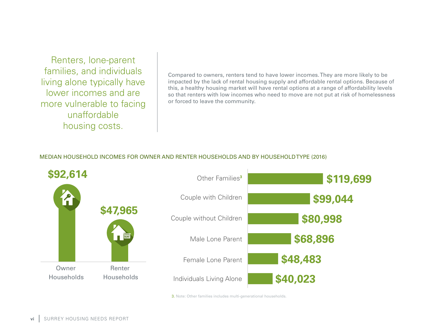Renters, lone-parent families, and individuals living alone typically have lower incomes and are more vulnerable to facing unaffordable housing costs.

Compared to owners, renters tend to have lower incomes. They are more likely to be impacted by the lack of rental housing supply and affordable rental options. Because of this, a healthy housing market will have rental options at a range of affordability levels so that renters with low incomes who need to move are not put at risk of homelessness or forced to leave the community.

### MEDIAN HOUSEHOLD INCOMES FOR OWNER AND RENTER HOUSEHOLDS AND BY HOUSEHOLD TYPE (2016)



3. Note: Other families includes multi-generational households.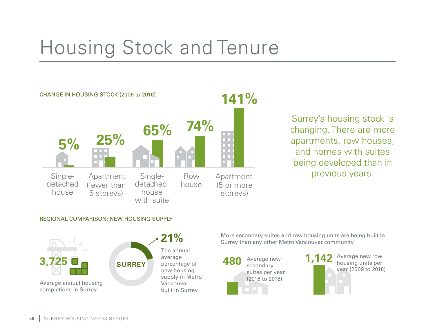# Housing Stock and Tenure



Surrey's housing stock is changing. There are more apartments, row houses, and homes with suites being developed than in previous years.

#### REGIONAL COMPARISON: NEW HOUSING SUPPLY



More secondary suites and row housing units are being built in **21%** Surrey than any other Metro Vancouver community



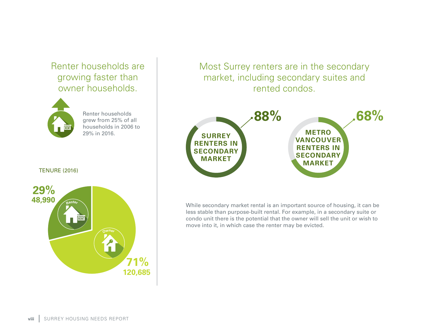# Renter households are growing faster than owner households.



Renter households grew from 25% of all households in 2006 to 29% in 2016.

TENURE (2016)



Most Surrey renters are in the secondary market, including secondary suites and rented condos.



While secondary market rental is an important source of housing, it can be less stable than purpose-built rental. For example, in a secondary suite or condo unit there is the potential that the owner will sell the unit or wish to move into it, in which case the renter may be evicted.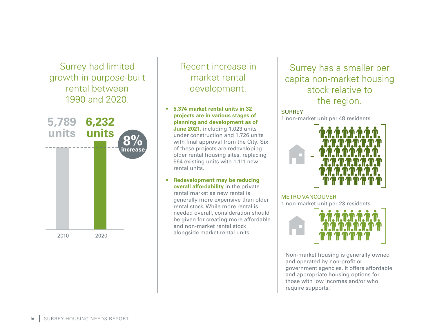Surrey had limited growth in purpose-built rental between 1990 and 2020.



# Recent increase in market rental development.

# • **5,374 market rental units in 32 projects are in various stages of planning and development as of**

**June 2021,** including 1,023 units under construction and 1,726 units with final approval from the City. Six of these projects are redeveloping older rental housing sites, replacing 564 existing units with 1,111 new rental units.

• **Redevelopment may be reducing overall affordability** in the private rental market as new rental is generally more expensive than older rental stock. While more rental is needed overall, consideration should be given for creating more affordable and non-market rental stock alongside market rental units.

# Surrey has a smaller per capita non-market housing stock relative to the region.

## **SURREY**

1 non-market unit per 48 residents



# METRO VANCOUVER

1 non-market unit per 23 residents



Non-market housing is generally owned and operated by non-profit or government agencies. It offers affordable and appropriate housing options for those with low incomes and/or who require supports.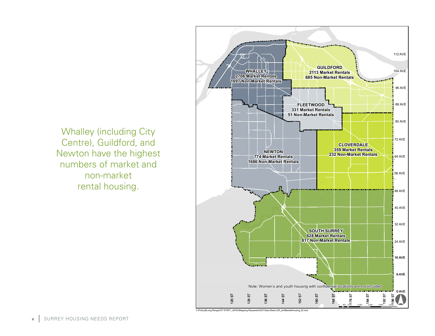

Whalley (including City Centre), Guildford, and Newton have the highest numbers of market and non-market rental housing.

V:\Policy&Long Range\CP STAFF\_JACK\Mapping Requests\2021\Sara Bear\JJR\_plnMarketHousing\_B.mxd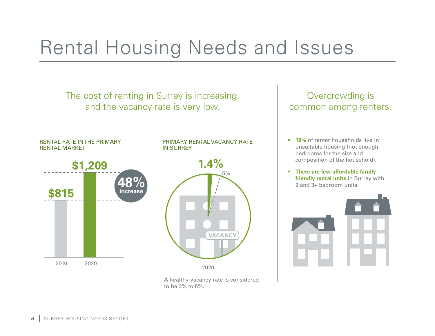# Rental Housing Needs and Issues



A healthy vacancy rate is considered to be 3% to 5%.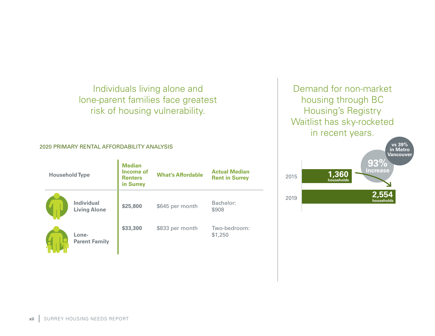Individuals living alone and lone-parent families face greatest risk of housing vulnerability.

#### 2020 PRIMARY RENTAL AFFORDABILITY ANALYSIS

| <b>Household Type</b> |                                          | <b>Median</b><br>Income of<br><b>Renters</b><br>in Surrey | <b>What's Affordable</b> | <b>Actual Median</b><br><b>Rent in Surrey</b> |
|-----------------------|------------------------------------------|-----------------------------------------------------------|--------------------------|-----------------------------------------------|
|                       | <b>Individual</b><br><b>Living Alone</b> | \$25,800                                                  | \$645 per month          | Bachelor:<br>\$908                            |
|                       | Lone-<br><b>Parent Family</b>            | \$33,300                                                  | \$833 per month          | Two-bedroom:<br>\$1,250                       |

Demand for non-market housing through BC Housing's Registry Waitlist has sky-rocketed in recent years.

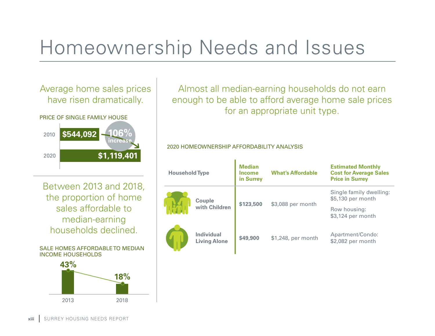# Homeownership Needs and Issues

# Average home sales prices have risen dramatically.





Between 2013 and 2018, the proportion of home sales affordable to median-earning households declined.

SALE HOMES AFFORDABLE TO MEDIAN INCOME HOUSEHOLDS



Almost all median-earning households do not earn enough to be able to afford average home sale prices for an appropriate unit type.

## 2020 HOMEOWNERSHIP AFFORDABILITY ANALYSIS

| <b>Household Type</b> |                                          | <b>Median</b><br><b>Income</b><br>in Surrey | <b>What's Affordable</b> | <b>Estimated Monthly</b><br><b>Cost for Average Sales</b><br><b>Price in Surrey</b> |  |
|-----------------------|------------------------------------------|---------------------------------------------|--------------------------|-------------------------------------------------------------------------------------|--|
|                       | <b>Couple</b><br>with Children           | \$123,500                                   | \$3,088 per month        | Single family dwelling:<br>\$5,130 per month                                        |  |
|                       |                                          |                                             |                          | Row housing:<br>\$3,124 per month                                                   |  |
|                       | <b>Individual</b><br><b>Living Alone</b> | \$49,900                                    | \$1,248, per month       | Apartment/Condo:<br>\$2,082 per month                                               |  |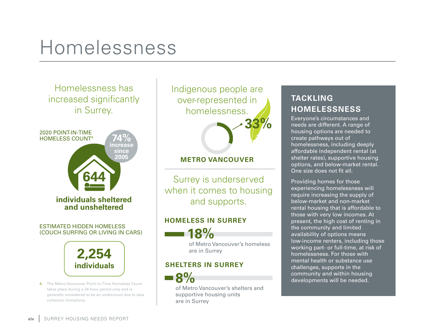# Homelessness

Homelessness has increased significantly in Surrey.



(COUCH SURFING OR LIVING IN CARS)



4. The Metro Vancouver Point-in-Time Homeless Count takes place during a 24-hour period only and is generally considered to be an undercount due to data collection limitations.

Indigenous people are over-represented in homelessness. **33%**

# **METRO VANCOUVER**

Surrey is underserved when it comes to housing and supports.

# **HOMELESS IN SURREY**



of Metro Vancouver's homeless are in Surrey

## **SHELTERS IN SURREY**



of Metro Vancouver's shelters and supportive housing units are in Surrey

# **TACKLING HOMELESSNESS**

Everyone's circumstances and needs are different. A range of housing options are needed to create pathways out of homelessness, including deeply affordable independent rental (at shelter rates), supportive housing options, and below-market rental. One size does not fit all.

Providing homes for those experiencing homelessness will require increasing the supply of below-market and non-market rental housing that is affordable to those with very low incomes. At present, the high cost of renting in the community and limited availability of options means low-income renters, including those working part- or full-time, at risk of homelessness. For those with mental health or substance use challenges, supports in the community and within housing developments will be needed.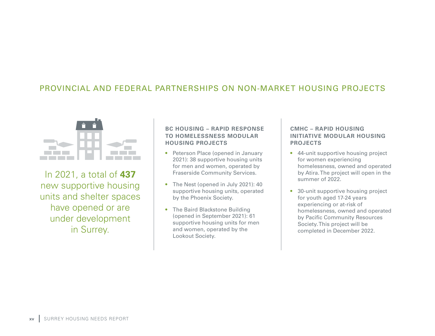# PROVINCIAL AND FEDERAL PARTNERSHIPS ON NON-MARKET HOUSING PROJECTS



In 2021, a total of **437**  new supportive housing units and shelter spaces have opened or are under development in Surrey.

### **BC HOUSING – RAPID RESPONSE TO HOMELESSNESS MODULAR HOUSING PROJECTS**

- Peterson Place (opened in January 2021): 38 supportive housing units for men and women, operated by Fraserside Community Services.
- The Nest (opened in July 2021): 40 supportive housing units, operated by the Phoenix Society.
- The Baird Blackstone Building (opened in September 2021): 61 supportive housing units for men and women, operated by the Lookout Society.

### **CMHC – RAPID HOUSING INITIATIVE MODULAR HOUSING PROJECTS**

- 44-unit supportive housing project for women experiencing homelessness, owned and operated by Atira. The project will open in the summer of 2022.
- 30-unit supportive housing project for youth aged 17-24 years experiencing or at-risk of homelessness, owned and operated by Pacific Community Resources Society. This project will be completed in December 2022.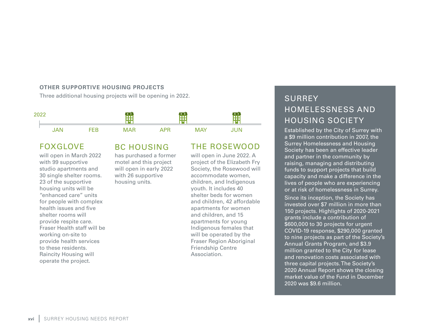#### **OTHER SUPPORTIVE HOUSING PROJECTS**

Three additional housing projects will be opening in 2022. SURREY



# FOXGLOVE

will open in March 2022 with 99 supportive studio apartments and 30 single shelter rooms. 23 of the supportive housing units will be "enhanced care" units for people with complex health issues and five shelter rooms will provide respite care. Fraser Health staff will be working on-site to provide health services to these residents. Raincity Housing will operate the project.

## BC HOUSING has purchased a former motel and this project will open in early 2022

with 26 supportive housing units.

# THE ROSEWOOD

will open in June 2022. A project of the Elizabeth Fry Society, the Rosewood will accommodate women, children, and Indigenous youth. It includes 40 shelter beds for women and children, 42 affordable apartments for women and children, and 15 apartments for young Indigenous females that will be operated by the Fraser Region Aboriginal Friendship Centre Association.

# HOMELESSNESS AND HOUSING SOCIETY

Established by the City of Surrey with a \$9 million contribution in 2007, the Surrey Homelessness and Housing Society has been an effective leader and partner in the community by raising, managing and distributing funds to support projects that build capacity and make a difference in the lives of people who are experiencing or at risk of homelessness in Surrey.

Since its inception, the Society has invested over \$7 million in more than 150 projects. Highlights of 2020-2021 grants include a contribution of \$600,000 to 30 projects for urgent COVID-19 response, \$290,000 granted to nine projects as part of the Society's Annual Grants Program, and \$3.9 million granted to the City for lease and renovation costs associated with three capital projects. The Society's 2020 Annual Report shows the closing market value of the Fund in December 2020 was \$9.6 million.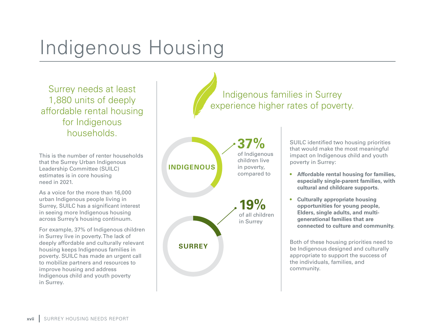# Indigenous Housing

Surrey needs at least 1,880 units of deeply affordable rental housing for Indigenous households.

This is the number of renter households that the Surrey Urban Indigenous Leadership Committee (SUILC) estimates is in core housing need in 2021.

As a voice for the more than 16,000 urban Indigenous people living in Surrey, SUILC has a significant interest in seeing more Indigenous housing across Surrey's housing continuum.

For example, 37% of Indigenous children in Surrey live in poverty. The lack of deeply affordable and culturally relevant housing keeps Indigenous families in poverty. SUILC has made an urgent call to mobilize partners and resources to improve housing and address Indigenous child and youth poverty in Surrey.





SUILC identified two housing priorities that would make the most meaningful impact on Indigenous child and youth poverty in Surrey:

- **Affordable rental housing for families, especially single-parent families, with cultural and childcare supports.**
- **Culturally appropriate housing opportunities for young people, Elders, single adults, and multigenerational families that are connected to culture and community.**

Both of these housing priorities need to be Indigenous designed and culturally appropriate to support the success of the individuals, families, and community.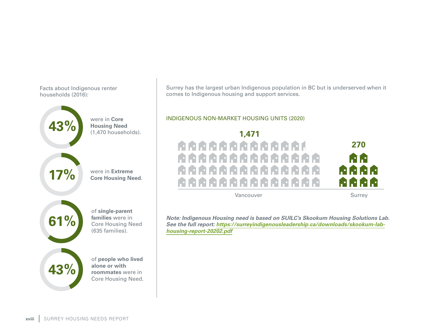Facts about Indigenous renter households (2016):



were in **Core Housing Need** (1,470 households).



**43%**

were in **Extreme Core Housing Need**.

**61%**

of **single-parent families** were in Core Housing Need (635 families).

of **people who lived alone or with roommates** were in Core Housing Need. Surrey has the largest urban Indigenous population in BC but is underserved when it comes to Indigenous housing and support services.

### INDIGENOUS NON-MARKET HOUSING UNITS (2020)



Vancouver Surrey

*Note: Indigenous Housing need is based on SUILC's Skookum Housing Solutions Lab. See the full report: [https://surreyindigenousleadership.ca/downloads/skookum-lab](https://surreyindigenousleadership.ca/downloads/skookum-lab-housing-report-20202.pdf)[housing-report-20202.pdf](https://surreyindigenousleadership.ca/downloads/skookum-lab-housing-report-20202.pdf)*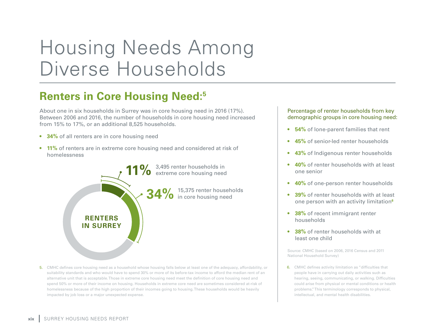# Housing Needs Among Diverse Households

# **Renters in Core Housing Need:5**

About one in six households in Surrey was in core housing need in 2016 (17%). Between 2006 and 2016, the number of households in core housing need increased from 15% to 17%, or an additional 8,525 households.

- **34%** of all renters are in core housing need
- **11%** of renters are in extreme core housing need and considered at risk of homelessness



5. CMHC defines core housing need as a household whose housing falls below at least one of the adequacy, affordability, or suitability standards and who would have to spend 30% or more of its before-tax income to afford the median rent of an alternative unit that is acceptable. Those in extreme core housing need meet the definition of core housing need and spend 50% or more of their income on housing. Households in extreme core need are sometimes considered at-risk of homelessness because of the high proportion of their incomes going to housing. These households would be heavily impacted by job loss or a major unexpected expense.

#### Percentage of renter households from key demographic groups in core housing need:

- **54%** of lone-parent families that rent
- **45%** of senior-led renter households
- **43%** of Indigenous renter households
- **40%** of renter households with at least one senior
- **40%** of one-person renter households
- **39%** of renter households with at least one person with an activity limitation**<sup>6</sup>**
- **38%** of recent immigrant renter households
- **38%** of renter households with at least one child

Source: CMHC (based on 2006, 2016 Census and 2011 National Household Survey)

6. CMHC defines activity limitation as "difficulties that people have in carrying out daily activities such as hearing, seeing, communicating, or walking. Difficulties could arise from physical or mental conditions or health problems." This terminology corresponds to physical, intellectual, and mental health disabilities.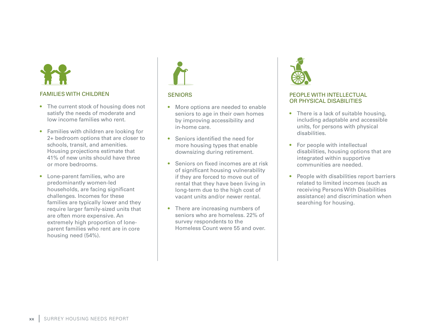#### FAMILIES WITH CHILDREN

- The current stock of housing does not satisfy the needs of moderate and low income families who rent.
- Families with children are looking for 2+ bedroom options that are closer to schools, transit, and amenities. Housing projections estimate that 41% of new units should have three or more bedrooms.
- Lone-parent families, who are predominantly women-led households, are facing significant challenges. Incomes for these families are typically lower and they require larger family-sized units that are often more expensive. An extremely high proportion of loneparent families who rent are in core housing need (54%).



#### **SENIORS**

- More options are needed to enable seniors to age in their own homes by improving accessibility and in-home care.
- Seniors identified the need for more housing types that enable downsizing during retirement.
- Seniors on fixed incomes are at risk of significant housing vulnerability if they are forced to move out of rental that they have been living in long-term due to the high cost of vacant units and/or newer rental.
- There are increasing numbers of seniors who are homeless. 22% of survey respondents to the Homeless Count were 55 and over.



#### PEOPLE WITH INTELLECTUAL OR PHYSICAL DISABILITIES

- There is a lack of suitable housing. including adaptable and accessible units, for persons with physical disabilities.
- For people with intellectual disabilities, housing options that are integrated within supportive communities are needed.
- People with disabilities report barriers related to limited incomes (such as receiving Persons With Disabilities assistance) and discrimination when searching for housing.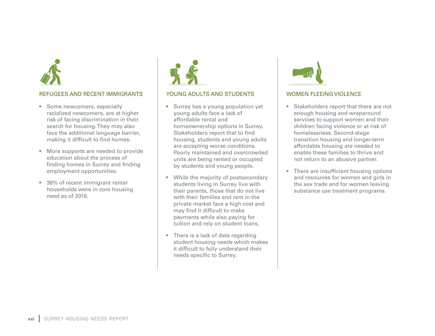

### REFUGEES AND RECENT IMMIGRANTS

- Some newcomers, especially racialized newcomers, are at higher risk of facing discrimination in their search for housing. They may also face the additional language barrier, making it difficult to find homes.
- More supports are needed to provide education about the process of finding homes in Surrey and finding employment opportunities.
- 38% of recent immigrant renter households were in core housing need as of 2016.



#### YOUNG ADULTS AND STUDENTS

- Surrey has a young population yet young adults face a lack of affordable rental and homeownership options in Surrey. Stakeholders report that to find housing, students and young adults are accepting worse conditions. Poorly maintained and overcrowded units are being rented or occupied by students and young people.
- While the majority of postsecondary students living in Surrey live with their parents, those that do not live with their families and rent in the private market face a high cost and may find it difficult to make payments while also paying for tuition and rely on student loans.
- There is a lack of data regarding student housing needs which makes it difficult to fully understand their needs specific to Surrey.



#### WOMEN FLEEING VIOLENCE

- Stakeholders report that there are not enough housing and wraparound services to support women and their children facing violence or at risk of homelessness. Second-stage transition housing and longer-term affordable housing are needed to enable these families to thrive and not return to an abusive partner.
- There are insufficient housing options and resources for women and girls in the sex trade and for women leaving substance use treatment programs.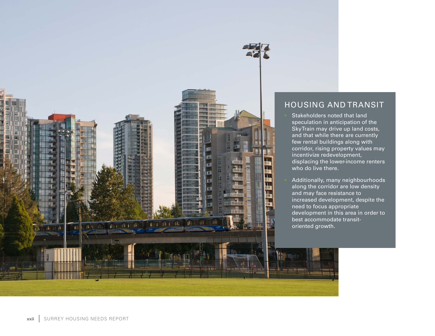

# HOUSING AND TRANSIT

Stakeholders noted that land speculation in anticipation of the SkyTrain may drive up land costs, and that while there are currently few rental buildings along with corridor, rising property values may incentivize redevelopment, displacing the lower-income renters who do live there.

• Additionally, many neighbourhoods along the corridor are low density and may face resistance to increased development, despite the need to focus appropriate development in this area in order to best accommodate transitoriented growth.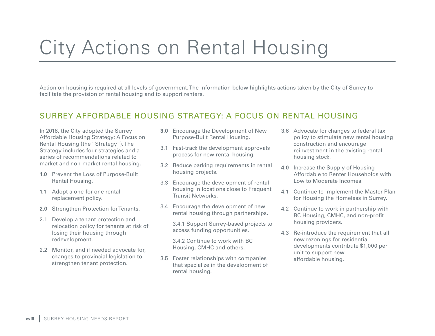# City Actions on Rental Housing

Action on housing is required at all levels of government. The information below highlights actions taken by the City of Surrey to facilitate the provision of rental housing and to support renters.

# SURREY AFFORDABLE HOUSING STRATEGY: A FOCUS ON RENTAL HOUSING

In 2018, the City adopted the Surrey Affordable Housing Strategy: A Focus on Rental Housing (the "Strategy"). The Strategy includes four strategies and a series of recommendations related to market and non-market rental housing.

- **1.0** Prevent the Loss of Purpose-Built Rental Housing.
- 1.1 Adopt a one-for-one rental replacement policy.
- **2.0** Strengthen Protection for Tenants.
- 2.1 Develop a tenant protection and relocation policy for tenants at risk of losing their housing through redevelopment.
- 2.2 Monitor, and if needed advocate for, changes to provincial legislation to strengthen tenant protection.
- **3.0** Encourage the Development of New Purpose-Built Rental Housing.
- 3.1 Fast-track the development approvals process for new rental housing.
- 3.2 Reduce parking requirements in rental housing projects.
- 3.3 Encourage the development of rental housing in locations close to Frequent Transit Networks.
- 3.4 Encourage the development of new rental housing through partnerships.

3.4.1 Support Surrey-based projects to access funding opportunities.

3.4.2 Continue to work with BC Housing, CMHC and others.

3.5 Foster relationships with companies that specialize in the development of rental housing.

- 3.6 Advocate for changes to federal tax policy to stimulate new rental housing construction and encourage reinvestment in the existing rental housing stock.
- **4.0** Increase the Supply of Housing Affordable to Renter Households with Low to Moderate Incomes.
- 4.1 Continue to implement the Master Plan for Housing the Homeless in Surrey.
- 4.2 Continue to work in partnership with BC Housing, CMHC, and non-profit housing providers.
- 4.3 Re-introduce the requirement that all new rezonings for residential developments contribute \$1,000 per unit to support new affordable housing.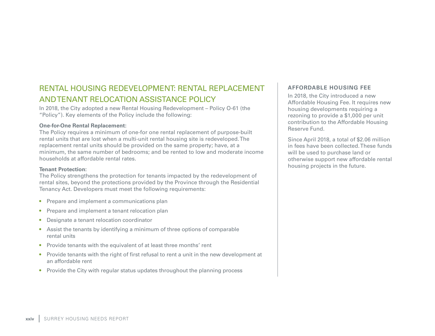# RENTAL HOUSING REDEVELOPMENT: RENTAL REPLACEMENT AND TENANT RELOCATION ASSISTANCE POLICY

In 2018, the City adopted a new Rental Housing Redevelopment – Policy O-61 (the "Policy"). Key elements of the Policy include the following:

#### **One-for-One Rental Replacement:**

The Policy requires a minimum of one-for one rental replacement of purpose-built rental units that are lost when a multi-unit rental housing site is redeveloped. The replacement rental units should be provided on the same property; have, at a minimum, the same number of bedrooms; and be rented to low and moderate income households at affordable rental rates.

#### **Tenant Protection:**

The Policy strengthens the protection for tenants impacted by the redevelopment of rental sites, beyond the protections provided by the Province through the Residential Tenancy Act. Developers must meet the following requirements:

- Prepare and implement a communications plan
- Prepare and implement a tenant relocation plan
- Designate a tenant relocation coordinator
- Assist the tenants by identifying a minimum of three options of comparable rental units
- Provide tenants with the equivalent of at least three months' rent
- Provide tenants with the right of first refusal to rent a unit in the new development at an affordable rent
- Provide the City with regular status updates throughout the planning process

### **AFFORDABLE HOUSING FEE**

In 2018, the City introduced a new Affordable Housing Fee. It requires new housing developments requiring a rezoning to provide a \$1,000 per unit contribution to the Affordable Housing Reserve Fund.

Since April 2018, a total of \$2.06 million in fees have been collected. These funds will be used to purchase land or otherwise support new affordable rental housing projects in the future.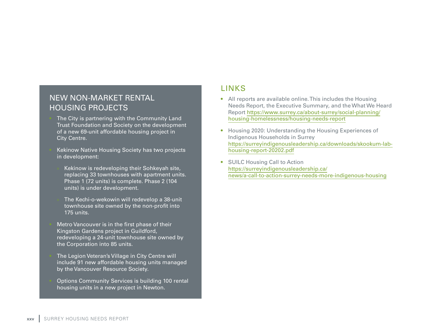# NEW NON-MARKET RENTAL HOUSING PROJECTS

The City is partnering with the Community Land Trust Foundation and Society on the development of a new 69-unit affordable housing project in City Centre.

Kekinow Native Housing Society has two projects in development:

» Kekinow is redeveloping their Sohkeyah site, replacing 33 townhouses with apartment units. Phase 1 (72 units) is complete. Phase 2 (104 units) is under development.

» The Kechi-o-wekowin will redevelop a 38-unit townhouse site owned by the non-profit into 175 units.

Metro Vancouver is in the first phase of their Kingston Gardens project in Guildford, redeveloping a 24-unit townhouse site owned by the Corporation into 85 units.

The Legion Veteran's Village in City Centre will include 91 new affordable housing units managed by the Vancouver Resource Society.

• Options Community Services is building 100 rental housing units in a new project in Newton.

# LINKS

- All reports are available online. This includes the Housing Needs Report, the Executive Summary, and the What We Heard Report [https://www.surrey.ca/about-surrey/social-planning/](https://www.surrey.ca/about-surrey/social-planning/housing-homelessness/housing-needs-report) [housing-homelessness/housing-needs-report](https://www.surrey.ca/about-surrey/social-planning/housing-homelessness/housing-needs-report)
- Housing 2020: Understanding the Housing Experiences of Indigenous Households in Surrey [https://surreyindigenousleadership.ca/downloads/skookum-lab](https://surreyindigenousleadership.ca/downloads/skookum-lab-housing-report-20202.pdf)[housing-report-20202.pdf](https://surreyindigenousleadership.ca/downloads/skookum-lab-housing-report-20202.pdf)
- SUILC Housing Call to Action [https://surreyindigenousleadership.ca/](https://surreyindigenousleadership.ca/news/a-call-to-action-surrey-needs-more-indigenous-housing) [news/a-call-to-action-surrey-needs-more-indigenous-housing](https://surreyindigenousleadership.ca/news/a-call-to-action-surrey-needs-more-indigenous-housing)